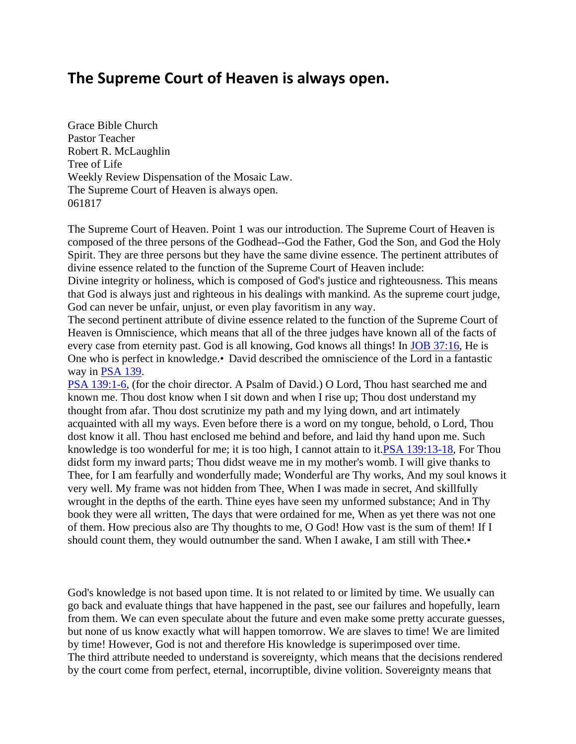## **The Supreme Court of Heaven is always open.**

Grace Bible Church Pastor Teacher Robert R. McLaughlin Tree of Life Weekly Review Dispensation of the Mosaic Law. The Supreme Court of Heaven is always open. 061817

The Supreme Court of Heaven. Point 1 was our introduction. The Supreme Court of Heaven is composed of the three persons of the Godhead--God the Father, God the Son, and God the Holy Spirit. They are three persons but they have the same divine essence. The pertinent attributes of divine essence related to the function of the Supreme Court of Heaven include:

Divine integrity or holiness, which is composed of God's justice and righteousness. This means that God is always just and righteous in his dealings with mankind. As the supreme court judge, God can never be unfair, unjust, or even play favoritism in any way.

The second pertinent attribute of divine essence related to the function of the Supreme Court of Heaven is Omniscience, which means that all of the three judges have known all of the facts of every case from eternity past. God is all knowing, God knows all things! In [JOB 37:16,](https://www.bibleserver.com/text/NIV/Job37%3A16) He is One who is perfect in knowledge.•David described the omniscience of the Lord in a fantastic way in [PSA 139.](https://www.bibleserver.com/text/NIV/Psalm139)

[PSA 139:1-6,](https://www.bibleserver.com/text/NIV/Psalm139%3A1-6) (for the choir director. A Psalm of David.) O Lord, Thou hast searched me and known me. Thou dost know when I sit down and when I rise up; Thou dost understand my thought from afar. Thou dost scrutinize my path and my lying down, and art intimately acquainted with all my ways. Even before there is a word on my tongue, behold, o Lord, Thou dost know it all. Thou hast enclosed me behind and before, and laid thy hand upon me. Such knowledge is too wonderful for me; it is too high, I cannot attain to it[.PSA 139:13-18,](https://www.bibleserver.com/text/NIV/Psalm139%3A13-18) For Thou didst form my inward parts; Thou didst weave me in my mother's womb. I will give thanks to Thee, for I am fearfully and wonderfully made; Wonderful are Thy works, And my soul knows it very well. My frame was not hidden from Thee, When I was made in secret, And skillfully wrought in the depths of the earth. Thine eyes have seen my unformed substance; And in Thy book they were all written, The days that were ordained for me, When as yet there was not one of them. How precious also are Thy thoughts to me, O God! How vast is the sum of them! If I should count them, they would outnumber the sand. When I awake, I am still with Thee.

God's knowledge is not based upon time. It is not related to or limited by time. We usually can go back and evaluate things that have happened in the past, see our failures and hopefully, learn from them. We can even speculate about the future and even make some pretty accurate guesses, but none of us know exactly what will happen tomorrow. We are slaves to time! We are limited by time! However, God is not and therefore His knowledge is superimposed over time. The third attribute needed to understand is sovereignty, which means that the decisions rendered by the court come from perfect, eternal, incorruptible, divine volition. Sovereignty means that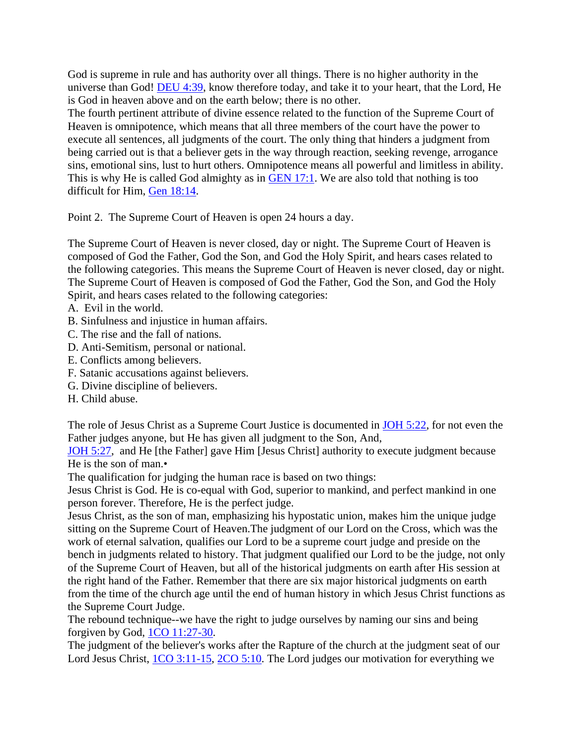God is supreme in rule and has authority over all things. There is no higher authority in the universe than God! [DEU 4:39,](https://www.bibleserver.com/text/NIV/Deuteronomy4%3A39) know therefore today, and take it to your heart, that the Lord, He is God in heaven above and on the earth below; there is no other.

The fourth pertinent attribute of divine essence related to the function of the Supreme Court of Heaven is omnipotence, which means that all three members of the court have the power to execute all sentences, all judgments of the court. The only thing that hinders a judgment from being carried out is that a believer gets in the way through reaction, seeking revenge, arrogance sins, emotional sins, lust to hurt others. Omnipotence means all powerful and limitless in ability. This is why He is called God almighty as in [GEN 17:1.](https://www.bibleserver.com/text/NIV/Genesis17%3A1) We are also told that nothing is too difficult for Him, [Gen 18:14.](https://www.bibleserver.com/text/NIV/Genesis18%3A14)

Point 2. The Supreme Court of Heaven is open 24 hours a day.

The Supreme Court of Heaven is never closed, day or night. The Supreme Court of Heaven is composed of God the Father, God the Son, and God the Holy Spirit, and hears cases related to the following categories. This means the Supreme Court of Heaven is never closed, day or night. The Supreme Court of Heaven is composed of God the Father, God the Son, and God the Holy Spirit, and hears cases related to the following categories:

- A. Evil in the world.
- B. Sinfulness and injustice in human affairs.
- C. The rise and the fall of nations.
- D. Anti-Semitism, personal or national.
- E. Conflicts among believers.
- F. Satanic accusations against believers.
- G. Divine discipline of believers.
- H. Child abuse.

The role of Jesus Christ as a Supreme Court Justice is documented in [JOH 5:22,](https://www.bibleserver.com/text/NIV/John5%3A22) for not even the Father judges anyone, but He has given all judgment to the Son, And,

[JOH 5:27,](https://www.bibleserver.com/text/NIV/John5%3A27) and He [the Father] gave Him [Jesus Christ] authority to execute judgment because He is the son of man.•

The qualification for judging the human race is based on two things:

Jesus Christ is God. He is co-equal with God, superior to mankind, and perfect mankind in one person forever. Therefore, He is the perfect judge.

Jesus Christ, as the son of man, emphasizing his hypostatic union, makes him the unique judge sitting on the Supreme Court of Heaven.The judgment of our Lord on the Cross, which was the work of eternal salvation, qualifies our Lord to be a supreme court judge and preside on the bench in judgments related to history. That judgment qualified our Lord to be the judge, not only of the Supreme Court of Heaven, but all of the historical judgments on earth after His session at the right hand of the Father. Remember that there are six major historical judgments on earth from the time of the church age until the end of human history in which Jesus Christ functions as the Supreme Court Judge.

The rebound technique--we have the right to judge ourselves by naming our sins and being forgiven by God, [1CO 11:27-30.](https://www.bibleserver.com/text/NIV/1Corinthians11%3A27-30)

The judgment of the believer's works after the Rapture of the church at the judgment seat of our Lord Jesus Christ, [1CO 3:11-15,](https://www.bibleserver.com/text/NIV/1Corinthians3%3A11-15) [2CO 5:10.](https://www.bibleserver.com/text/NIV/2Corinthians5%3A10) The Lord judges our motivation for everything we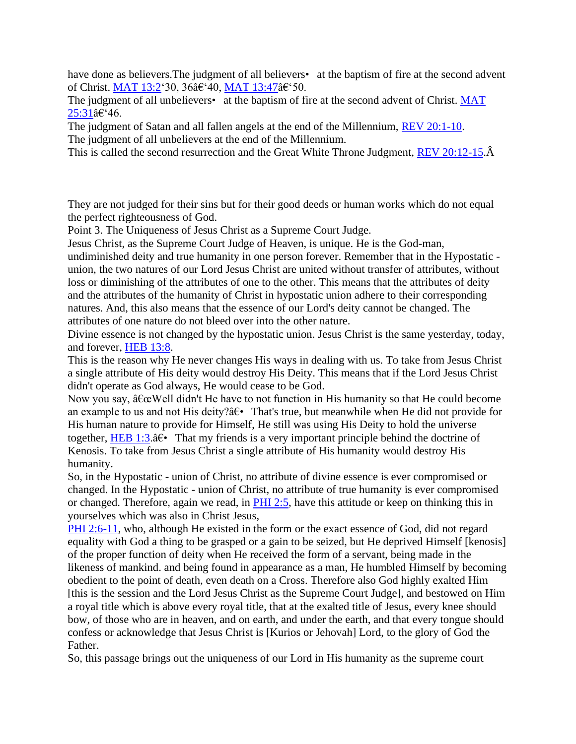have done as believers. The judgment of all believers• at the baptism of fire at the second advent of Christ. [MAT 13:2'](https://www.bibleserver.com/text/NIV/Matthew13%3A2)30, 36â€'40, [MAT 13:47â](https://www.bibleserver.com/text/NIV/Matthew13%3A47)€'50.

The judgment of all unbelievers• at the baptism of fire at the second advent of Christ. MAT [25:31â](https://www.bibleserver.com/text/NIV/Matthew25%3A31)€'46.

The judgment of Satan and all fallen angels at the end of the Millennium, [REV 20:1-10.](https://www.bibleserver.com/text/NIV/Revelation20%3A1-10) The judgment of all unbelievers at the end of the Millennium.

This is called the second resurrection and the Great White Throne Judgment, [REV 20:12-15.](https://www.bibleserver.com/text/NIV/Revelation20%3A12-15) $\hat{A}$ 

They are not judged for their sins but for their good deeds or human works which do not equal the perfect righteousness of God.

Point 3. The Uniqueness of Jesus Christ as a Supreme Court Judge.

Jesus Christ, as the Supreme Court Judge of Heaven, is unique. He is the God-man,

undiminished deity and true humanity in one person forever. Remember that in the Hypostatic union, the two natures of our Lord Jesus Christ are united without transfer of attributes, without loss or diminishing of the attributes of one to the other. This means that the attributes of deity and the attributes of the humanity of Christ in hypostatic union adhere to their corresponding natures. And, this also means that the essence of our Lord's deity cannot be changed. The attributes of one nature do not bleed over into the other nature.

Divine essence is not changed by the hypostatic union. Jesus Christ is the same yesterday, today, and forever, [HEB 13:8.](https://www.bibleserver.com/text/NIV/Hebrews13%3A8)

This is the reason why He never changes His ways in dealing with us. To take from Jesus Christ a single attribute of His deity would destroy His Deity. This means that if the Lord Jesus Christ didn't operate as God always, He would cease to be God.

Now you say,  $\hat{a} \in \alpha$  Well didn't He have to not function in His humanity so that He could become an example to us and not His deity? $\hat{a} \in \mathbb{R}$  That's true, but meanwhile when He did not provide for His human nature to provide for Himself, He still was using His Deity to hold the universe together, [HEB 1:3.](https://www.bibleserver.com/text/NIV/Hebrews1%3A3) $\hat{a}\in \mathbb{R}$  That my friends is a very important principle behind the doctrine of Kenosis. To take from Jesus Christ a single attribute of His humanity would destroy His humanity.

So, in the Hypostatic - union of Christ, no attribute of divine essence is ever compromised or changed. In the Hypostatic - union of Christ, no attribute of true humanity is ever compromised or changed. Therefore, again we read, in [PHI 2:5,](https://www.bibleserver.com/text/NIV/Philippians2%3A5) have this attitude or keep on thinking this in yourselves which was also in Christ Jesus,

[PHI 2:6-11,](https://www.bibleserver.com/text/NIV/Philippians2%3A6-11) who, although He existed in the form or the exact essence of God, did not regard equality with God a thing to be grasped or a gain to be seized, but He deprived Himself [kenosis] of the proper function of deity when He received the form of a servant, being made in the likeness of mankind. and being found in appearance as a man, He humbled Himself by becoming obedient to the point of death, even death on a Cross. Therefore also God highly exalted Him [this is the session and the Lord Jesus Christ as the Supreme Court Judge], and bestowed on Him a royal title which is above every royal title, that at the exalted title of Jesus, every knee should bow, of those who are in heaven, and on earth, and under the earth, and that every tongue should confess or acknowledge that Jesus Christ is [Kurios or Jehovah] Lord, to the glory of God the Father.

So, this passage brings out the uniqueness of our Lord in His humanity as the supreme court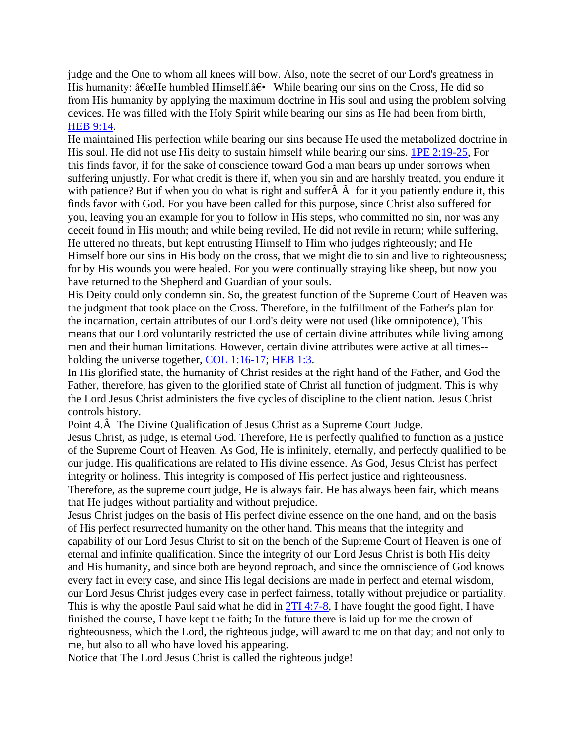judge and the One to whom all knees will bow. Also, note the secret of our Lord's greatness in His humanity:  $\hat{a} \in \mathbb{C}$  humbled Himself. $\hat{a} \in \mathbb{C}$  While bearing our sins on the Cross, He did so from His humanity by applying the maximum doctrine in His soul and using the problem solving devices. He was filled with the Holy Spirit while bearing our sins as He had been from birth, [HEB 9:14.](https://www.bibleserver.com/text/NIV/Hebrews9%3A14)

He maintained His perfection while bearing our sins because He used the metabolized doctrine in His soul. He did not use His deity to sustain himself while bearing our sins. [1PE 2:19-25,](https://www.bibleserver.com/text/NIV/1Peter2%3A19-25) For this finds favor, if for the sake of conscience toward God a man bears up under sorrows when suffering unjustly. For what credit is there if, when you sin and are harshly treated, you endure it with patience? But if when you do what is right and suffer $\hat{A}$   $\hat{A}$  for it you patiently endure it, this finds favor with God. For you have been called for this purpose, since Christ also suffered for you, leaving you an example for you to follow in His steps, who committed no sin, nor was any deceit found in His mouth; and while being reviled, He did not revile in return; while suffering, He uttered no threats, but kept entrusting Himself to Him who judges righteously; and He Himself bore our sins in His body on the cross, that we might die to sin and live to righteousness; for by His wounds you were healed. For you were continually straying like sheep, but now you have returned to the Shepherd and Guardian of your souls.

His Deity could only condemn sin. So, the greatest function of the Supreme Court of Heaven was the judgment that took place on the Cross. Therefore, in the fulfillment of the Father's plan for the incarnation, certain attributes of our Lord's deity were not used (like omnipotence), This means that our Lord voluntarily restricted the use of certain divine attributes while living among men and their human limitations. However, certain divine attributes were active at all times-- holding the universe together, [COL 1:16-17;](https://www.bibleserver.com/text/NIV/Colossians1%3A16-17) [HEB 1:3.](https://www.bibleserver.com/text/NIV/Hebrews1%3A3)

In His glorified state, the humanity of Christ resides at the right hand of the Father, and God the Father, therefore, has given to the glorified state of Christ all function of judgment. This is why the Lord Jesus Christ administers the five cycles of discipline to the client nation. Jesus Christ controls history.

Point 4.Â The Divine Qualification of Jesus Christ as a Supreme Court Judge.

Jesus Christ, as judge, is eternal God. Therefore, He is perfectly qualified to function as a justice of the Supreme Court of Heaven. As God, He is infinitely, eternally, and perfectly qualified to be our judge. His qualifications are related to His divine essence. As God, Jesus Christ has perfect integrity or holiness. This integrity is composed of His perfect justice and righteousness. Therefore, as the supreme court judge, He is always fair. He has always been fair, which means that He judges without partiality and without prejudice.

Jesus Christ judges on the basis of His perfect divine essence on the one hand, and on the basis of His perfect resurrected humanity on the other hand. This means that the integrity and capability of our Lord Jesus Christ to sit on the bench of the Supreme Court of Heaven is one of eternal and infinite qualification. Since the integrity of our Lord Jesus Christ is both His deity and His humanity, and since both are beyond reproach, and since the omniscience of God knows every fact in every case, and since His legal decisions are made in perfect and eternal wisdom, our Lord Jesus Christ judges every case in perfect fairness, totally without prejudice or partiality. This is why the apostle Paul said what he did in [2TI 4:7-8,](https://www.bibleserver.com/text/NIV/2Timothy4%3A7-8) I have fought the good fight, I have finished the course, I have kept the faith; In the future there is laid up for me the crown of righteousness, which the Lord, the righteous judge, will award to me on that day; and not only to me, but also to all who have loved his appearing.

Notice that The Lord Jesus Christ is called the righteous judge!